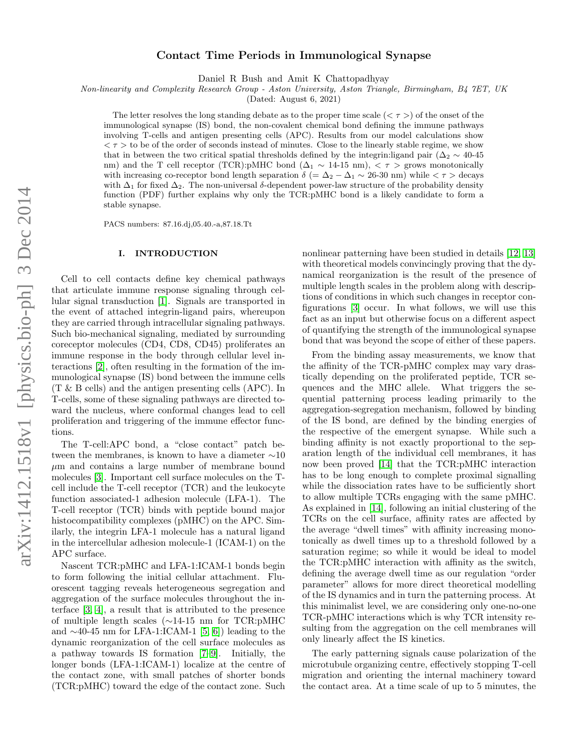# Contact Time Periods in Immunological Synapse

Daniel R Bush and Amit K Chattopadhyay

Non-linearity and Complexity Research Group - Aston University, Aston Triangle, Birmingham, B4 7ET, UK

(Dated: August 6, 2021)

The letter resolves the long standing debate as to the proper time scale ( $\langle \tau \rangle$ ) of the onset of the immunological synapse (IS) bond, the non-covalent chemical bond defining the immune pathways involving T-cells and antigen presenting cells (APC). Results from our model calculations show  $\langle \tau \rangle$  to be of the order of seconds instead of minutes. Close to the linearly stable regime, we show that in between the two critical spatial thresholds defined by the integrin:ligand pair ( $\Delta_2 \sim 40$ -45 nm) and the T cell receptor (TCR):pMHC bond ( $\Delta_1 \sim 14{\text -}15$  nm),  $\langle \tau \rangle$  grows monotonically with increasing co-receptor bond length separation  $\delta$  (=  $\Delta_2 - \Delta_1 \sim 26{\text -}30$  nm) while  $\langle \tau \rangle$  decays with  $\Delta_1$  for fixed  $\Delta_2$ . The non-universal δ-dependent power-law structure of the probability density function (PDF) further explains why only the TCR:pMHC bond is a likely candidate to form a stable synapse.

PACS numbers: 87.16.dj,05.40.-a,87.18.Tt

#### I. INTRODUCTION

Cell to cell contacts define key chemical pathways that articulate immune response signaling through cellular signal transduction [\[1\]](#page-5-0). Signals are transported in the event of attached integrin-ligand pairs, whereupon they are carried through intracellular signaling pathways. Such bio-mechanical signaling, mediated by surrounding coreceptor molecules (CD4, CD8, CD45) proliferates an immune response in the body through cellular level interactions [\[2\]](#page-5-1), often resulting in the formation of the immunological synapse (IS) bond between the immune cells (T & B cells) and the antigen presenting cells (APC). In T-cells, some of these signaling pathways are directed toward the nucleus, where conformal changes lead to cell proliferation and triggering of the immune effector functions.

The T-cell:APC bond, a "close contact" patch between the membranes, is known to have a diameter ∼10  $\mu$ m and contains a large number of membrane bound molecules [\[3\]](#page-5-2). Important cell surface molecules on the Tcell include the T-cell receptor (TCR) and the leukocyte function associated-1 adhesion molecule (LFA-1). The T-cell receptor (TCR) binds with peptide bound major histocompatibility complexes (pMHC) on the APC. Similarly, the integrin LFA-1 molecule has a natural ligand in the intercellular adhesion molecule-1 (ICAM-1) on the APC surface.

Nascent TCR:pMHC and LFA-1:ICAM-1 bonds begin to form following the initial cellular attachment. Fluorescent tagging reveals heterogeneous segregation and aggregation of the surface molecules throughout the interface [\[3,](#page-5-2) [4\]](#page-5-3), a result that is attributed to the presence of multiple length scales (∼14-15 nm for TCR:pMHC and  $\sim$ 40-45 nm for LFA-1:ICAM-1 [\[5,](#page-5-4) [6\]](#page-5-5)) leading to the dynamic reorganization of the cell surface molecules as a pathway towards IS formation [\[7](#page-5-6)[–9\]](#page-5-7). Initially, the longer bonds (LFA-1:ICAM-1) localize at the centre of the contact zone, with small patches of shorter bonds (TCR:pMHC) toward the edge of the contact zone. Such

nonlinear patterning have been studied in details [\[12,](#page-5-8) [13\]](#page-5-9) with theoretical models convincingly proving that the dynamical reorganization is the result of the presence of multiple length scales in the problem along with descriptions of conditions in which such changes in receptor configurations [\[3\]](#page-5-2) occur. In what follows, we will use this fact as an input but otherwise focus on a different aspect of quantifying the strength of the immunological synapse bond that was beyond the scope of either of these papers.

From the binding assay measurements, we know that the affinity of the TCR-pMHC complex may vary drastically depending on the proliferated peptide, TCR sequences and the MHC allele. What triggers the sequential patterning process leading primarily to the aggregation-segregation mechanism, followed by binding of the IS bond, are defined by the binding energies of the respective of the emergent synapse. While such a binding affinity is not exactly proportional to the separation length of the individual cell membranes, it has now been proved [\[14\]](#page-5-10) that the TCR:pMHC interaction has to be long enough to complete proximal signalling while the dissociation rates have to be sufficiently short to allow multiple TCRs engaging with the same pMHC. As explained in [\[14\]](#page-5-10), following an initial clustering of the TCRs on the cell surface, affinity rates are affected by the average "dwell times" with affinity increasing monotonically as dwell times up to a threshold followed by a saturation regime; so while it would be ideal to model the TCR:pMHC interaction with affinity as the switch, defining the average dwell time as our regulation "order parameter" allows for more direct theoretical modelling of the IS dynamics and in turn the patterning process. At this minimalist level, we are considering only one-no-one TCR-pMHC interactions which is why TCR intensity resulting from the aggregation on the cell membranes will only linearly affect the IS kinetics.

The early patterning signals cause polarization of the microtubule organizing centre, effectively stopping T-cell migration and orienting the internal machinery toward the contact area. At a time scale of up to 5 minutes, the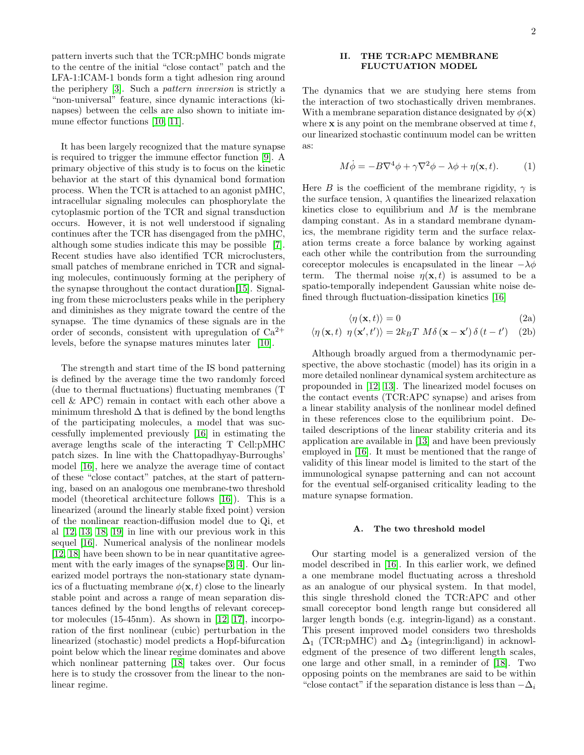pattern inverts such that the TCR:pMHC bonds migrate to the centre of the initial "close contact" patch and the LFA-1:ICAM-1 bonds form a tight adhesion ring around the periphery [\[3\]](#page-5-2). Such a pattern inversion is strictly a "non-universal" feature, since dynamic interactions (kinapses) between the cells are also shown to initiate immune effector functions [\[10,](#page-5-11) [11\]](#page-5-12).

It has been largely recognized that the mature synapse is required to trigger the immune effector function [\[9\]](#page-5-7). A primary objective of this study is to focus on the kinetic behavior at the start of this dynamical bond formation process. When the TCR is attached to an agonist pMHC, intracellular signaling molecules can phosphorylate the cytoplasmic portion of the TCR and signal transduction occurs. However, it is not well understood if signaling continues after the TCR has disengaged from the pMHC, although some studies indicate this may be possible [\[7\]](#page-5-6). Recent studies have also identified TCR microclusters, small patches of membrane enriched in TCR and signaling molecules, continuously forming at the periphery of the synapse throughout the contact duration[\[15\]](#page-5-13). Signaling from these microclusters peaks while in the periphery and diminishes as they migrate toward the centre of the synapse. The time dynamics of these signals are in the order of seconds, consistent with upregulation of  $Ca^{2+}$ levels, before the synapse matures minutes later [\[10\]](#page-5-11).

The strength and start time of the IS bond patterning is defined by the average time the two randomly forced (due to thermal fluctuations) fluctuating membranes (T cell & APC) remain in contact with each other above a minimum threshold  $\Delta$  that is defined by the bond lengths of the participating molecules, a model that was successfully implemented previously [\[16\]](#page-5-14) in estimating the average lengths scale of the interacting T Cell:pMHC patch sizes. In line with the Chattopadhyay-Burroughs' model [\[16\]](#page-5-14), here we analyze the average time of contact of these "close contact" patches, at the start of patterning, based on an analogous one membrane-two threshold model (theoretical architecture follows [\[16\]](#page-5-14)). This is a linearized (around the linearly stable fixed point) version of the nonlinear reaction-diffusion model due to Qi, et al [\[12,](#page-5-8) [13,](#page-5-9) [18,](#page-5-15) [19\]](#page-5-16) in line with our previous work in this sequel [\[16\]](#page-5-14). Numerical analysis of the nonlinear models [\[12,](#page-5-8) [18\]](#page-5-15) have been shown to be in near quantitative agreement with the early images of the synapse[\[3,](#page-5-2) [4\]](#page-5-3). Our linearized model portrays the non-stationary state dynamics of a fluctuating membrane  $\phi(\mathbf{x}, t)$  close to the linearly stable point and across a range of mean separation distances defined by the bond lengths of relevant coreceptor molecules (15-45nm). As shown in [\[12,](#page-5-8) [17\]](#page-5-17), incorporation of the first nonlinear (cubic) perturbation in the linearized (stochastic) model predicts a Hopf-bifurcation point below which the linear regime dominates and above which nonlinear patterning [\[18\]](#page-5-15) takes over. Our focus here is to study the crossover from the linear to the nonlinear regime.

## II. THE TCR:APC MEMBRANE FLUCTUATION MODEL

The dynamics that we are studying here stems from the interaction of two stochastically driven membranes. With a membrane separation distance designated by  $\phi(\mathbf{x})$ where  $x$  is any point on the membrane observed at time  $t$ . our linearized stochastic continuum model can be written as:

<span id="page-1-0"></span>
$$
M\dot{\phi} = -B\nabla^4\phi + \gamma\nabla^2\phi - \lambda\phi + \eta(\mathbf{x}, t). \tag{1}
$$

Here B is the coefficient of the membrane rigidity,  $\gamma$  is the surface tension,  $\lambda$  quantifies the linearized relaxation kinetics close to equilibrium and  $M$  is the membrane damping constant. As in a standard membrane dynamics, the membrane rigidity term and the surface relaxation terms create a force balance by working against each other while the contribution from the surrounding coreceptor molecules is encapsulated in the linear  $-\lambda \phi$ term. The thermal noise  $\eta(\mathbf{x}, t)$  is assumed to be a spatio-temporally independent Gaussian white noise defined through fluctuation-dissipation kinetics [\[16\]](#page-5-14)

$$
\langle \eta \left( \mathbf{x}, t \right) \rangle = 0 \tag{2a}
$$

$$
\langle \eta \left( \mathbf{x}, t \right) \eta \left( \mathbf{x}', t' \right) \rangle = 2k_B T \ M \delta \left( \mathbf{x} - \mathbf{x}' \right) \delta \left( t - t' \right) \quad (2b)
$$

Although broadly argued from a thermodynamic perspective, the above stochastic (model) has its origin in a more detailed nonlinear dynamical system architecture as propounded in [\[12,](#page-5-8) [13\]](#page-5-9). The linearized model focuses on the contact events (TCR:APC synapse) and arises from a linear stability analysis of the nonlinear model defined in these references close to the equilibrium point. Detailed descriptions of the linear stability criteria and its application are available in [\[13\]](#page-5-9) and have been previously employed in [\[16\]](#page-5-14). It must be mentioned that the range of validity of this linear model is limited to the start of the immunological synapse patterning and can not account for the eventual self-organised criticality leading to the mature synapse formation.

### A. The two threshold model

Our starting model is a generalized version of the model described in [\[16\]](#page-5-14). In this earlier work, we defined a one membrane model fluctuating across a threshold as an analogue of our physical system. In that model, this single threshold cloned the TCR:APC and other small coreceptor bond length range but considered all larger length bonds (e.g. integrin-ligand) as a constant. This present improved model considers two thresholds  $\Delta_1$  (TCR:pMHC) and  $\Delta_2$  (integrin:ligand) in acknowledgment of the presence of two different length scales, one large and other small, in a reminder of [\[18\]](#page-5-15). Two opposing points on the membranes are said to be within "close contact" if the separation distance is less than  $-\Delta_i$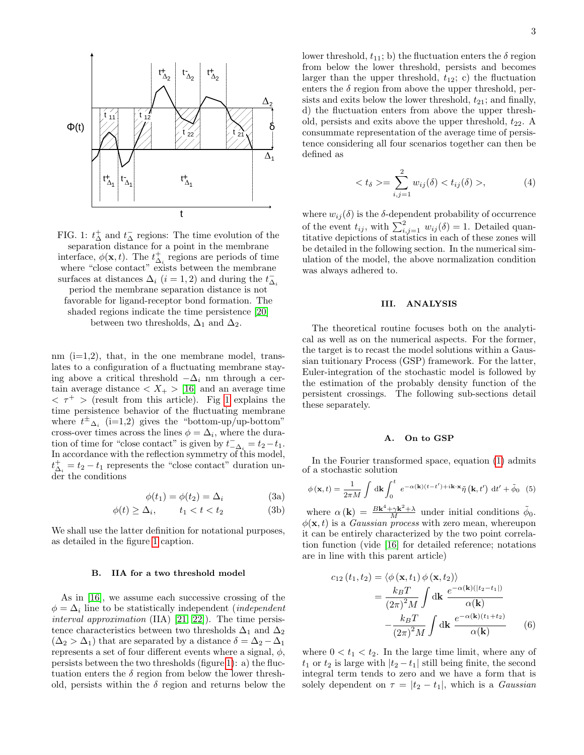<span id="page-2-0"></span>

FIG. 1:  $t_{\Delta}^{+}$  and  $t_{\Delta}^{-}$  regions: The time evolution of the separation distance for a point in the membrane interface,  $\phi(\mathbf{x}, t)$ . The  $t_{\Delta_i}^+$  regions are periods of time where "close contact" exists between the membrane surfaces at distances  $\Delta_i$  (*i* = 1, 2) and during the  $t_{\Delta_i}^$ period the membrane separation distance is not favorable for ligand-receptor bond formation. The shaded regions indicate the time persistence [\[20\]](#page-6-0) between two thresholds,  $\Delta_1$  and  $\Delta_2$ .

nm  $(i=1,2)$ , that, in the one membrane model, translates to a configuration of a fluctuating membrane staying above a critical threshold  $-\Delta_i$  nm through a certain average distance  $\langle X_+ \rangle$  [\[16\]](#page-5-14) and an average time  $\langle \tau^+ \rangle$  (result from this article). Fig [1](#page-2-0) explains the time persistence behavior of the fluctuating membrane where  $t^{\pm}$   $_{\Delta_i}$  (i=1,2) gives the "bottom-up/up-bottom" cross-over times across the lines  $\phi = \Delta_i$ , where the duration of time for "close contact" is given by  $t_{-\Delta_i}^- = t_2 - t_1$ . In accordance with the reflection symmetry of this model,  $t_{\Delta_i}^+ = t_2 - t_1$  represents the "close contact" duration under the conditions

$$
\phi(t_1) = \phi(t_2) = \Delta_i \tag{3a}
$$

$$
\phi(t) \ge \Delta_i, \qquad t_1 < t < t_2 \tag{3b}
$$

We shall use the latter definition for notational purposes, as detailed in the figure [1](#page-2-0) caption.

#### B. IIA for a two threshold model

As in [\[16\]](#page-5-14), we assume each successive crossing of the  $\phi = \Delta_i$  line to be statistically independent (*independent* interval approximation (IIA) [\[21,](#page-6-1) [22\]](#page-6-2)). The time persistence characteristics between two thresholds  $\Delta_1$  and  $\Delta_2$  $(\Delta_2 > \Delta_1)$  that are separated by a distance  $\delta = \Delta_2 - \Delta_1$ represents a set of four different events where a signal,  $\phi$ , persists between the two thresholds (figure [1\)](#page-2-0): a) the fluctuation enters the  $\delta$  region from below the lower threshold, persists within the  $\delta$  region and returns below the

 $\Delta_2$  sists and exits below the lower threshold,  $t_{21}$ ; and finally,  $\mathcal{L}_{\Delta_2}$   $\mathcal{L}_{\Delta_2}$   $\mathcal{L}_{\Delta_2}$  is the upper threshold,  $t_{12}$ ; c) the fluctuation lower threshold,  $t_{11}$ ; b) the fluctuation enters the  $\delta$  region from below the lower threshold, persists and becomes enters the  $\delta$  region from above the upper threshold, perd) the fluctuation enters from above the upper threshold, persists and exits above the upper threshold,  $t_{22}$ . A consummate representation of the average time of persistence considering all four scenarios together can then be defined as

$$
\langle t_{\delta} \rangle = \sum_{i,j=1}^{2} w_{ij}(\delta) \langle t_{ij}(\delta) \rangle, \tag{4}
$$

where  $w_{ij}(\delta)$  is the  $\delta$ -dependent probability of occurrence of the event  $t_{ij}$ , with  $\sum_{i,j=1}^{2} w_{ij}(\delta) = 1$ . Detailed quantitative depictions of statistics in each of these zones will be detailed in the following section. In the numerical simulation of the model, the above normalization condition was always adhered to.

#### III. ANALYSIS

The theoretical routine focuses both on the analytical as well as on the numerical aspects. For the former, the target is to recast the model solutions within a Gaussian tuitionary Process (GSP) framework. For the latter, Euler-integration of the stochastic model is followed by the estimation of the probably density function of the persistent crossings. The following sub-sections detail these separately.

#### A. On to GSP

In the Fourier transformed space, equation [\(1\)](#page-1-0) admits of a stochastic solution

$$
\phi(\mathbf{x},t) = \frac{1}{2\pi M} \int \mathrm{d}\mathbf{k} \int_0^t e^{-\alpha(\mathbf{k})(t-t') + i\mathbf{k}\cdot\mathbf{x}} \tilde{\eta}(\mathbf{k},t') \mathrm{d}t' + \tilde{\phi}_0 \quad (5)
$$

where  $\alpha(\mathbf{k}) = \frac{B\mathbf{k}^4 + \gamma \mathbf{k}^2 + \lambda}{M}$  under initial conditions  $\tilde{\phi}_0$ .  $\phi(\mathbf{x}, t)$  is a *Gaussian process* with zero mean, whereupon it can be entirely characterized by the two point correlation function (vide [\[16\]](#page-5-14) for detailed reference; notations are in line with this parent article)

$$
c_{12}(t_1, t_2) = \langle \phi(\mathbf{x}, t_1) \phi(\mathbf{x}, t_2) \rangle
$$
  
= 
$$
\frac{k_B T}{(2\pi)^2 M} \int \mathrm{d}\mathbf{k} \frac{e^{-\alpha(\mathbf{k})(|t_2 - t_1|)}}{\alpha(\mathbf{k})}
$$
  
- 
$$
\frac{k_B T}{(2\pi)^2 M} \int \mathrm{d}\mathbf{k} \frac{e^{-\alpha(\mathbf{k})(t_1 + t_2)}}{\alpha(\mathbf{k})}
$$
(6)

where  $0 < t_1 < t_2$ . In the large time limit, where any of  $t_1$  or  $t_2$  is large with  $|t_2 - t_1|$  still being finite, the second integral term tends to zero and we have a form that is solely dependent on  $\tau = |t_2 - t_1|$ , which is a *Gaussian*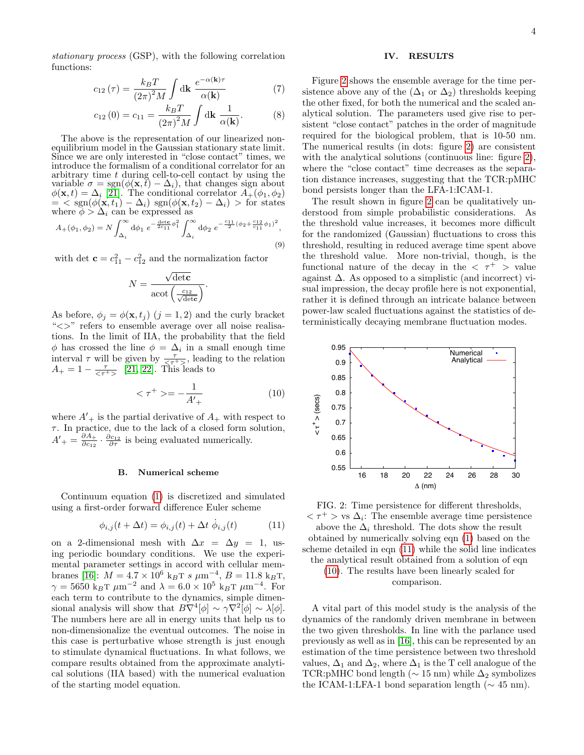4

stationary process (GSP), with the following correlation functions:

$$
c_{12}(\tau) = \frac{k_B T}{\left(2\pi\right)^2 M} \int \mathrm{d}\mathbf{k} \; \frac{e^{-\alpha(\mathbf{k})\tau}}{\alpha(\mathbf{k})} \tag{7}
$$

$$
c_{12}(0) = c_{11} = \frac{k_B T}{(2\pi)^2 M} \int \mathrm{d} \mathbf{k} \, \frac{1}{\alpha(\mathbf{k})}.\tag{8}
$$

The above is the representation of our linearized nonequilibrium model in the Gaussian stationary state limit. Since we are only interested in "close contact" times, we introduce the formalism of a conditional correlator for an arbitrary time t during cell-to-cell contact by using the variable  $\sigma = \text{sgn}(\phi(\mathbf{x}, t) - \Delta_i)$ , that changes sign about  $\phi(\mathbf{x},t) = \Delta_i$  [\[21\]](#page-6-1). The conditional correlator  $A_+(\phi_1, \phi_2)$  $=$  < sgn( $\phi(\mathbf{x}, t_1) - \Delta_i$ ) sgn( $\phi(\mathbf{x}, t_2) - \Delta_i$ ) > for states where  $\phi > \Delta_i$  can be expressed as

$$
A_{+}(\phi_1, \phi_2) = N \int_{\Delta_i}^{\infty} d\phi_1 \ e^{-\frac{det c}{2c_{11}} \phi_1^2} \int_{\Delta_i}^{\infty} d\phi_2 \ e^{-\frac{c_{11}}{2} (\phi_2 + \frac{c_{12}}{c_{11}} \phi_1)^2}, \tag{9}
$$

with det  $\mathbf{c} = c_{11}^2 - c_{12}^2$  and the normalization factor

$$
N = \frac{\sqrt{\det \mathbf{c}}}{\mathrm{acot}\left(\frac{c_{12}}{\sqrt{\det \mathbf{c}}}\right)}.
$$

As before,  $\phi_j = \phi(\mathbf{x}, t_j)$   $(j = 1, 2)$  and the curly bracket "<>" refers to ensemble average over all noise realisations. In the limit of IIA, the probability that the field  $\phi$  has crossed the line  $\phi = \Delta_i$  in a small enough time interval  $\tau$  will be given by  $\frac{\tau}{\langle \tau^+ \rangle}$ , leading to the relation  $A_+ = 1 - \frac{\tau}{\langle \tau^+ \rangle}$  [\[21,](#page-6-1) [22\]](#page-6-2). This leads to

<span id="page-3-2"></span>
$$
\langle \tau^+ \rangle = -\frac{1}{A'_+} \tag{10}
$$

where  $A'_{+}$  is the partial derivative of  $A_{+}$  with respect to  $\tau$ . In practice, due to the lack of a closed form solution,  $A'_{+}=\frac{\partial A_{+}}{\partial c_{12}}$  $\frac{\partial A_+}{\partial c_{12}} \cdot \frac{\partial c_{12}}{\partial \tau}$  is being evaluated numerically.

#### B. Numerical scheme

Continuum equation [\(1\)](#page-1-0) is discretized and simulated using a first-order forward difference Euler scheme

<span id="page-3-1"></span>
$$
\phi_{i,j}(t + \Delta t) = \phi_{i,j}(t) + \Delta t \dot{\phi}_{i,j}(t)
$$
\n(11)

on a 2-dimensional mesh with  $\Delta x = \Delta y = 1$ , using periodic boundary conditions. We use the experimental parameter settings in accord with cellular mem-branes [\[16\]](#page-5-14):  $M = 4.7 \times 10^6$  k<sub>B</sub>T s  $\mu$ m<sup>-4</sup>,  $B = 11.8$  k<sub>B</sub>T,  $\gamma = 5650 \text{ kgT } \mu \text{m}^{-2} \text{ and } \lambda = 6.0 \times 10^5 \text{ kgT } \mu \text{m}^{-4}. \text{ For}$ each term to contribute to the dynamics, simple dimensional analysis will show that  $B\nabla^4[\phi] \sim \gamma \nabla^2[\phi] \sim \lambda[\phi]$ . The numbers here are all in energy units that help us to non-dimensionalize the eventual outcomes. The noise in this case is perturbative whose strength is just enough to stimulate dynamical fluctuations. In what follows, we compare results obtained from the approximate analytical solutions (IIA based) with the numerical evaluation of the starting model equation.

## IV. RESULTS

Figure [2](#page-3-0) shows the ensemble average for the time persistence above any of the  $(\Delta_1 \text{ or } \Delta_2)$  thresholds keeping the other fixed, for both the numerical and the scaled analytical solution. The parameters used give rise to persistent "close contact" patches in the order of magnitude required for the biological problem, that is 10-50 nm. The numerical results (in dots: figure [2\)](#page-3-0) are consistent with the analytical solutions (continuous line: figure [2\)](#page-3-0), where the "close contact" time decreases as the separation distance increases, suggesting that the TCR:pMHC bond persists longer than the LFA-1:ICAM-1.

The result shown in figure [2](#page-3-0) can be qualitatively understood from simple probabilistic considerations. As the threshold value increases, it becomes more difficult for the randomized (Gaussian) fluctuations to cross this threshold, resulting in reduced average time spent above the threshold value. More non-trivial, though, is the functional nature of the decay in the  $\langle \tau^+ \rangle$  value against  $\Delta$ . As opposed to a simplistic (and incorrect) visual impression, the decay profile here is not exponential, rather it is defined through an intricate balance between power-law scaled fluctuations against the statistics of deterministically decaying membrane fluctuation modes.

<span id="page-3-0"></span>

FIG. 2: Time persistence for different thresholds,  $\langle \tau^+ \rangle$  vs  $\Delta_i$ : The ensemble average time persistence above the  $\Delta_i$  threshold. The dots show the result obtained by numerically solving eqn [\(1\)](#page-1-0) based on the scheme detailed in eqn [\(11\)](#page-3-1) while the solid line indicates the analytical result obtained from a solution of eqn [\(10\)](#page-3-2). The results have been linearly scaled for

comparison.

A vital part of this model study is the analysis of the dynamics of the randomly driven membrane in between the two given thresholds. In line with the parlance used previously as well as in [\[16\]](#page-5-14), this can be represented by an estimation of the time persistence between two threshold values,  $\Delta_1$  and  $\Delta_2$ , where  $\Delta_1$  is the T cell analogue of the TCR:pMHC bond length ( $\sim 15$  nm) while  $\Delta_2$  symbolizes the ICAM-1:LFA-1 bond separation length ( $\sim 45$  nm).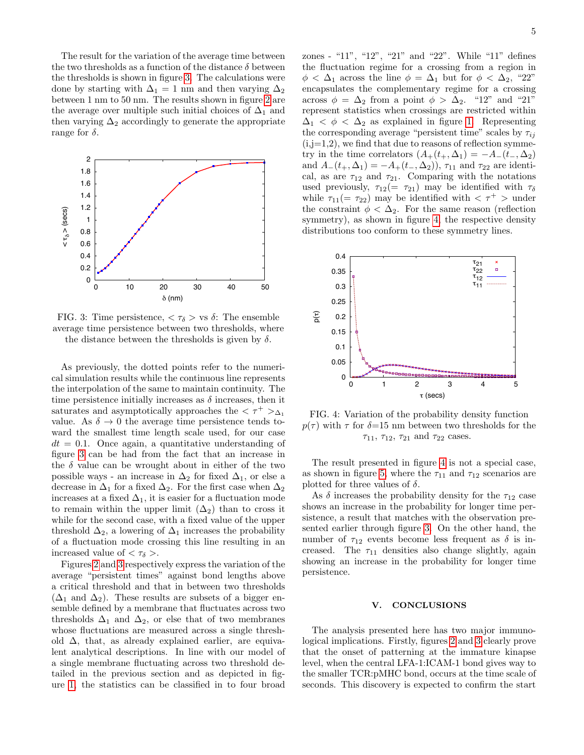The result for the variation of the average time between the two thresholds as a function of the distance  $\delta$  between the thresholds is shown in figure [3.](#page-4-0) The calculations were done by starting with  $\Delta_1 = 1$  nm and then varying  $\Delta_2$ between 1 nm to 50 nm. The results shown in figure [2](#page-3-0) are the average over multiple such initial choices of  $\Delta_1$  and then varying  $\Delta_2$  accordingly to generate the appropriate range for  $\delta$ .

<span id="page-4-0"></span>

FIG. 3: Time persistence,  $\langle \tau_{\delta} \rangle$  vs  $\delta$ : The ensemble average time persistence between two thresholds, where the distance between the thresholds is given by  $\delta$ .

As previously, the dotted points refer to the numerical simulation results while the continuous line represents the interpolation of the same to maintain continuity. The time persistence initially increases as  $\delta$  increases, then it saturates and asymptotically approaches the  $\langle \tau^+ \rangle_{\Delta_1}$ value. As  $\delta \rightarrow 0$  the average time persistence tends toward the smallest time length scale used, for our case  $dt = 0.1$ . Once again, a quantitative understanding of figure [3](#page-4-0) can be had from the fact that an increase in the  $\delta$  value can be wrought about in either of the two possible ways - an increase in  $\Delta_2$  for fixed  $\Delta_1$ , or else a decrease in  $\Delta_1$  for a fixed  $\Delta_2$ . For the first case when  $\Delta_2$ increases at a fixed  $\Delta_1$ , it is easier for a fluctuation mode to remain within the upper limit  $(\Delta_2)$  than to cross it while for the second case, with a fixed value of the upper threshold  $\Delta_2$ , a lowering of  $\Delta_1$  increases the probability of a fluctuation mode crossing this line resulting in an increased value of  $\langle \tau_{\delta} \rangle$ .

Figures [2](#page-3-0) and [3](#page-4-0) respectively express the variation of the average "persistent times" against bond lengths above a critical threshold and that in between two thresholds  $(\Delta_1$  and  $\Delta_2)$ . These results are subsets of a bigger ensemble defined by a membrane that fluctuates across two thresholds  $\Delta_1$  and  $\Delta_2$ , or else that of two membranes whose fluctuations are measured across a single threshold  $\Delta$ , that, as already explained earlier, are equivalent analytical descriptions. In line with our model of a single membrane fluctuating across two threshold detailed in the previous section and as depicted in figure [1,](#page-2-0) the statistics can be classified in to four broad

zones - "11", "12", "21" and "22". While "11" defines the fluctuation regime for a crossing from a region in  $\phi < \Delta_1$  across the line  $\phi = \Delta_1$  but for  $\phi < \Delta_2$ , "22" encapsulates the complementary regime for a crossing across  $\phi = \Delta_2$  from a point  $\phi > \Delta_2$ . "12" and "21" represent statistics when crossings are restricted within  $\Delta_1 < \phi < \Delta_2$  as explained in figure [1.](#page-2-0) Representing the corresponding average "persistent time" scales by  $\tau_{ii}$  $(i,j=1,2)$ , we find that due to reasons of reflection symmetry in the time correlators  $(A_+(t_+,\Delta_1) = -A_-(t_-, \Delta_2))$ and  $A_-(t_+,\Delta_1) = -A_+(t_-, \Delta_2)$ ,  $\tau_{11}$  and  $\tau_{22}$  are identical, as are  $\tau_{12}$  and  $\tau_{21}$ . Comparing with the notations used previously,  $\tau_{12}(=\tau_{21})$  may be identified with  $\tau_{\delta}$ while  $\tau_{11}(=\tau_{22})$  may be identified with  $\tau$   $\tau$   $>$  under the constraint  $\phi < \Delta_2$ . For the same reason (reflection symmetry), as shown in figure [4,](#page-4-1) the respective density distributions too conform to these symmetry lines.

<span id="page-4-1"></span>

FIG. 4: Variation of the probability density function  $p(\tau)$  with  $\tau$  for  $\delta$ =15 nm between two thresholds for the  $\tau_{11}, \tau_{12}, \tau_{21}$  and  $\tau_{22}$  cases.

The result presented in figure [4](#page-4-1) is not a special case, as shown in figure [5,](#page-5-18) where the  $\tau_{11}$  and  $\tau_{12}$  scenarios are plotted for three values of  $\delta$ .

As  $\delta$  increases the probability density for the  $\tau_{12}$  case shows an increase in the probability for longer time persistence, a result that matches with the observation presented earlier through figure [3.](#page-4-0) On the other hand, the number of  $\tau_{12}$  events become less frequent as  $\delta$  is increased. The  $\tau_{11}$  densities also change slightly, again showing an increase in the probability for longer time persistence.

#### V. CONCLUSIONS

The analysis presented here has two major immunological implications. Firstly, figures [2](#page-3-0) and [3](#page-4-0) clearly prove that the onset of patterning at the immature kinapse level, when the central LFA-1:ICAM-1 bond gives way to the smaller TCR:pMHC bond, occurs at the time scale of seconds. This discovery is expected to confirm the start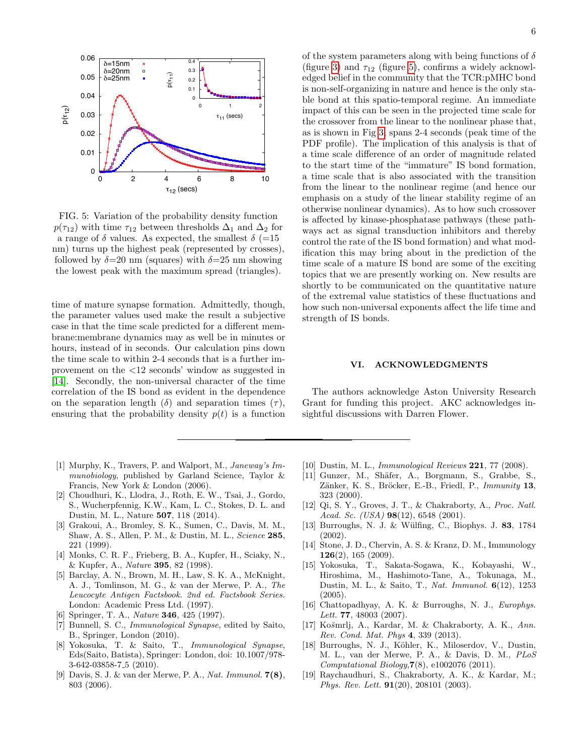<span id="page-5-18"></span>

FIG. 5: Variation of the probability density function  $p(\tau_{12})$  with time  $\tau_{12}$  between thresholds  $\Delta_1$  and  $\Delta_2$  for a range of  $\delta$  values. As expected, the smallest  $\delta$  (=15 nm) turns up the highest peak (represented by crosses), followed by  $\delta = 20$  nm (squares) with  $\delta = 25$  nm showing the lowest peak with the maximum spread (triangles).

time of mature synapse formation. Admittedly, though, the parameter values used make the result a subjective case in that the time scale predicted for a different membrane:membrane dynamics may as well be in minutes or hours, instead of in seconds. Our calculation pins down the time scale to within 2-4 seconds that is a further improvement on the <12 seconds' window as suggested in [\[14\]](#page-5-10). Secondly, the non-universal character of the time correlation of the IS bond as evident in the dependence on the separation length  $(\delta)$  and separation times  $(\tau)$ , ensuring that the probability density  $p(t)$  is a function

- <span id="page-5-0"></span>[1] Murphy, K., Travers, P. and Walport, M., Janeway's Immunobiology, published by Garland Science, Taylor & Francis, New York & London (2006).
- <span id="page-5-1"></span>[2] Choudhuri, K., Llodra, J., Roth, E. W., Tsai, J., Gordo, S., Wucherpfennig, K.W., Kam, L. C., Stokes, D. L. and Dustin, M. L., Nature 507, 118 (2014).
- <span id="page-5-2"></span>[3] Grakoui, A., Bromley, S. K., Sumen, C., Davis, M. M., Shaw, A. S., Allen, P. M., & Dustin, M. L., Science 285, 221 (1999).
- <span id="page-5-3"></span>[4] Monks, C. R. F., Frieberg, B. A., Kupfer, H., Sciaky, N., & Kupfer, A., Nature 395, 82 (1998).
- <span id="page-5-4"></span>[5] Barclay, A. N., Brown, M. H., Law, S. K. A., McKnight, A. J., Tomlinson, M. G., & van der Merwe, P. A., The Leucocyte Antigen Factsbook. 2nd ed. Factsbook Series. London: Academic Press Ltd. (1997).
- <span id="page-5-5"></span>[6] Springer, T. A., *Nature* **346**, 425 (1997).
- <span id="page-5-6"></span>[7] Bunnell, S. C., Immunological Synapse, edited by Saito, B., Springer, London (2010).
- [8] Yokosuka, T. & Saito, T., Immunological Synapse, Eds(Saito, Batista), Springer: London, doi: 10.1007/978- 3-642-03858-7 5 (2010).
- <span id="page-5-7"></span>[9] Davis, S. J. & van der Merwe, P. A., Nat. Immunol. 7(8), 803 (2006).

of the system parameters along with being functions of  $\delta$ (figure [3\)](#page-4-0) and  $\tau_{12}$  (figure [5\)](#page-5-18), confirms a widely acknowledged belief in the community that the TCR:pMHC bond is non-self-organizing in nature and hence is the only stable bond at this spatio-temporal regime. An immediate impact of this can be seen in the projected time scale for the crossover from the linear to the nonlinear phase that, as is shown in Fig [3,](#page-4-0) spans 2-4 seconds (peak time of the PDF profile). The implication of this analysis is that of a time scale difference of an order of magnitude related to the start time of the "immature" IS bond formation, a time scale that is also associated with the transition from the linear to the nonlinear regime (and hence our emphasis on a study of the linear stability regime of an otherwise nonlinear dynamics). As to how such crossover is affected by kinase-phosphatase pathways (these pathways act as signal transduction inhibitors and thereby control the rate of the IS bond formation) and what modification this may bring about in the prediction of the time scale of a mature IS bond are some of the exciting topics that we are presently working on. New results are shortly to be communicated on the quantitative nature of the extremal value statistics of these fluctuations and how such non-universal exponents affect the life time and strength of IS bonds.

### VI. ACKNOWLEDGMENTS

The authors acknowledge Aston University Research Grant for funding this project. AKC acknowledges insightful discussions with Darren Flower.

- <span id="page-5-11"></span>[10] Dustin, M. L., *Immunological Reviews* **221**, 77 (2008).
- <span id="page-5-12"></span>[11] Gunzer, M., Shäfer, A., Borgmann, S., Grabbe, S., Zänker, K. S., Bröcker, E.-B., Friedl, P., Immunity 13, 323 (2000).
- <span id="page-5-8"></span>[12] Qi, S. Y., Groves, J. T., & Chakraborty, A., Proc. Natl. Acad. Sc. (USA)  $98(12)$ , 6548 (2001).
- <span id="page-5-9"></span>[13] Burroughs, N. J. & Wülfing, C., Biophys. J. 83, 1784 (2002).
- <span id="page-5-10"></span>[14] Stone, J. D., Chervin, A. S. & Kranz, D. M., Immunology  $126(2)$ , 165 (2009).
- <span id="page-5-13"></span>[15] Yokosuka, T., Sakata-Sogawa, K., Kobayashi, W., Hiroshima, M., Hashimoto-Tane, A., Tokunaga, M., Dustin, M. L., & Saito, T., Nat. Immunol. 6(12), 1253 (2005).
- <span id="page-5-14"></span>[16] Chattopadhyay, A. K. & Burroughs, N. J., Europhys. Lett. **77**, 48003 (2007).
- <span id="page-5-17"></span>[17] Košmrlj, A., Kardar, M. & Chakraborty, A. K., Ann. Rev. Cond. Mat. Phys 4, 339 (2013).
- <span id="page-5-15"></span>[18] Burroughs, N. J., Köhler, K., Miloserdov, V., Dustin, M. L., van der Merwe, P. A., & Davis, D. M., PLoS Computational Biology,7(8), e1002076 (2011).
- <span id="page-5-16"></span>[19] Raychaudhuri, S., Chakraborty, A. K., & Kardar, M.; Phys. Rev. Lett. 91(20), 208101 (2003).